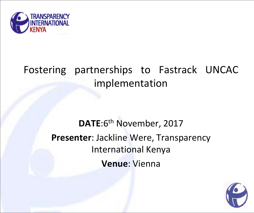

## Fostering partnerships to Fastrack UNCAC implementation

## **DATE**:6th November, 2017 **Presenter**: Jackline Were, Transparency International Kenya **Venue**: Vienna

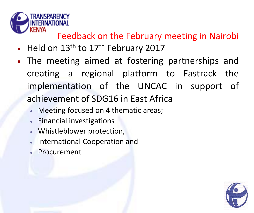

#### Feedback on the February meeting in Nairobi

- $\bullet$  Held on 13<sup>th</sup> to 17<sup>th</sup> February 2017
- The meeting aimed at fostering partnerships and creating a regional platform to Fastrack the implementation of the UNCAC in support of achievement of SDG16 in East Africa
	- Meeting focused on 4 thematic areas;
	- Financial investigations
	- Whistleblower protection,
	- **International Cooperation and**
	- Procurement

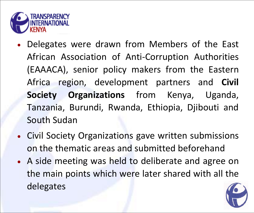

- Delegates were drawn from Members of the East African Association of Anti-Corruption Authorities (EAAACA), senior policy makers from the Eastern Africa region, development partners and **Civil Society Organizations** from Kenya, Uganda, Tanzania, Burundi, Rwanda, Ethiopia, Djibouti and South Sudan
- Civil Society Organizations gave written submissions on the thematic areas and submitted beforehand
- A side meeting was held to deliberate and agree on the main points which were later shared with all the delegates

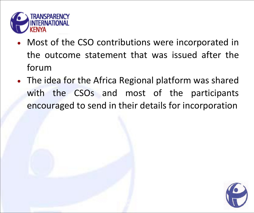

- Most of the CSO contributions were incorporated in the outcome statement that was issued after the forum
- The idea for the Africa Regional platform was shared with the CSOs and most of the participants encouraged to send in their details for incorporation

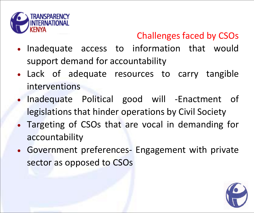

### Challenges faced by CSOs

- Inadequate access to information that would support demand for accountability
- Lack of adequate resources to carry tangible interventions
- Inadequate Political good will -Enactment of legislations that hinder operations by Civil Society
- Targeting of CSOs that are vocal in demanding for accountability
- Government preferences- Engagement with private sector as opposed to CSOs

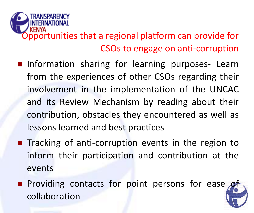

- **Information sharing for learning purposes- Learn** from the experiences of other CSOs regarding their involvement in the implementation of the UNCAC and its Review Mechanism by reading about their contribution, obstacles they encountered as well as lessons learned and best practices
- **Tracking of anti-corruption events in the region to** inform their participation and contribution at the events
- **Providing contacts for point persons for ease** collaboration